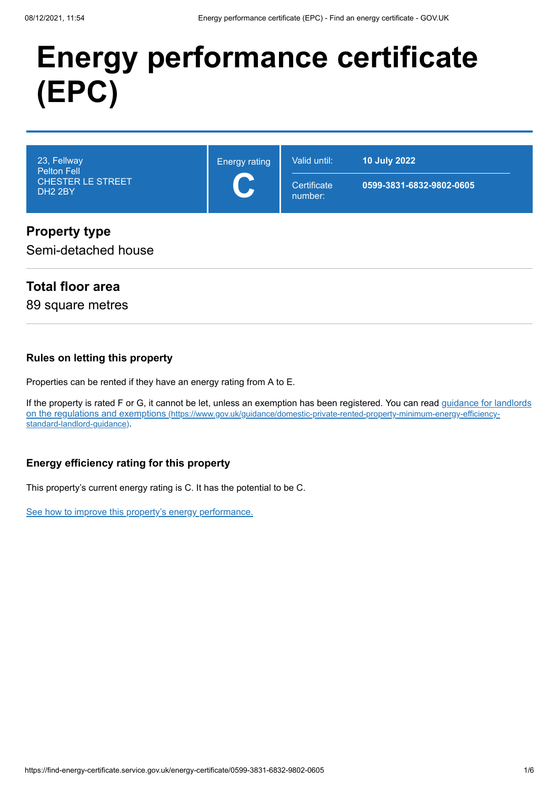# **Energy performance certificate (EPC)**

| 23, Fellway<br>Pelton Fell<br><b>CHESTER LE STREET</b><br>DH <sub>2</sub> 2BY | <b>Energy rating</b><br>$\blacktriangleleft$<br><b>CENT</b> | Valid until:<br>Certificate<br>number: | <b>10 July 2022</b><br>0599-3831-6832-9802-0605 |
|-------------------------------------------------------------------------------|-------------------------------------------------------------|----------------------------------------|-------------------------------------------------|
| D <sub>Y</sub>                                                                |                                                             |                                        |                                                 |

## **Property type**

Semi-detached house

# **Total floor area**

89 square metres

#### **Rules on letting this property**

Properties can be rented if they have an energy rating from A to E.

[If the property is rated F or G, it cannot be let, unless an exemption has been registered. You can read guidance for landlords](https://www.gov.uk/guidance/domestic-private-rented-property-minimum-energy-efficiency-standard-landlord-guidance) on the regulations and exemptions (https://www.gov.uk/guidance/domestic-private-rented-property-minimum-energy-efficiencystandard-landlord-guidance).

#### **Energy efficiency rating for this property**

This property's current energy rating is C. It has the potential to be C.

[See how to improve this property's energy performance.](#page-3-0)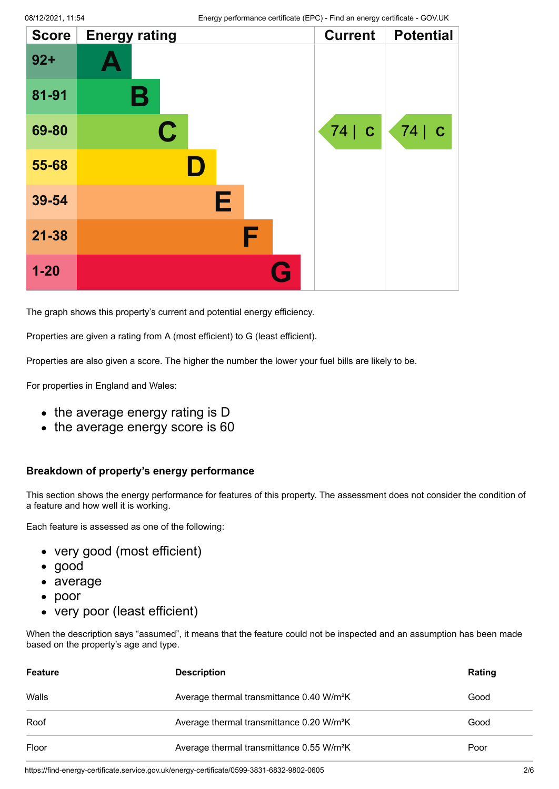| <b>Score</b> | <b>Energy rating</b> |              | <b>Current</b>    | <b>Potential</b> |
|--------------|----------------------|--------------|-------------------|------------------|
| $92 +$       |                      |              |                   |                  |
| 81-91        | Β                    |              |                   |                  |
| 69-80        | $\mathbf C$          |              | 74<br>$\mathbf C$ | $74$ $c$         |
| 55-68        |                      |              |                   |                  |
| 39-54        |                      | E            |                   |                  |
| $21 - 38$    |                      | F            |                   |                  |
| $1-20$       |                      | $\mathbf{r}$ |                   |                  |

The graph shows this property's current and potential energy efficiency.

Properties are given a rating from A (most efficient) to G (least efficient).

Properties are also given a score. The higher the number the lower your fuel bills are likely to be.

For properties in England and Wales:

- the average energy rating is D
- the average energy score is 60

#### **Breakdown of property's energy performance**

This section shows the energy performance for features of this property. The assessment does not consider the condition of a feature and how well it is working.

Each feature is assessed as one of the following:

- very good (most efficient)
- good
- average
- poor
- very poor (least efficient)

When the description says "assumed", it means that the feature could not be inspected and an assumption has been made based on the property's age and type.

| <b>Feature</b> | <b>Description</b>                                    | Rating |
|----------------|-------------------------------------------------------|--------|
| Walls          | Average thermal transmittance 0.40 W/m <sup>2</sup> K | Good   |
| Roof           | Average thermal transmittance 0.20 W/m <sup>2</sup> K | Good   |
| Floor          | Average thermal transmittance 0.55 W/m <sup>2</sup> K | Poor   |

https://find-energy-certificate.service.gov.uk/energy-certificate/0599-3831-6832-9802-0605 2/6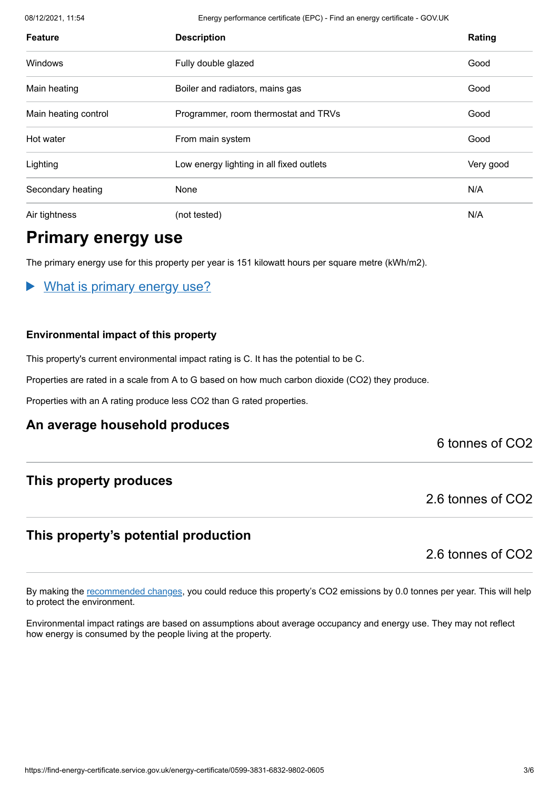08/12/2021, 11:54 Energy performance certificate (EPC) - Find an energy certificate - GOV.UK

| <b>Feature</b>       | <b>Description</b>                       | Rating    |
|----------------------|------------------------------------------|-----------|
| <b>Windows</b>       | Fully double glazed                      | Good      |
| Main heating         | Boiler and radiators, mains gas          | Good      |
| Main heating control | Programmer, room thermostat and TRVs     | Good      |
| Hot water            | From main system                         | Good      |
| Lighting             | Low energy lighting in all fixed outlets | Very good |
| Secondary heating    | None                                     | N/A       |
| Air tightness        | (not tested)                             | N/A       |

# **Primary energy use**

The primary energy use for this property per year is 151 kilowatt hours per square metre (kWh/m2).

#### What is primary energy use?

#### **Environmental impact of this property**

This property's current environmental impact rating is C. It has the potential to be C.

Properties are rated in a scale from A to G based on how much carbon dioxide (CO2) they produce.

Properties with an A rating produce less CO2 than G rated properties.

#### **An average household produces**

#### 6 tonnes of CO2

### **This property produces**

2.6 tonnes of CO2

## **This property's potential production**

2.6 tonnes of CO2

By making the [recommended changes](#page-3-0), you could reduce this property's CO2 emissions by 0.0 tonnes per year. This will help to protect the environment.

Environmental impact ratings are based on assumptions about average occupancy and energy use. They may not reflect how energy is consumed by the people living at the property.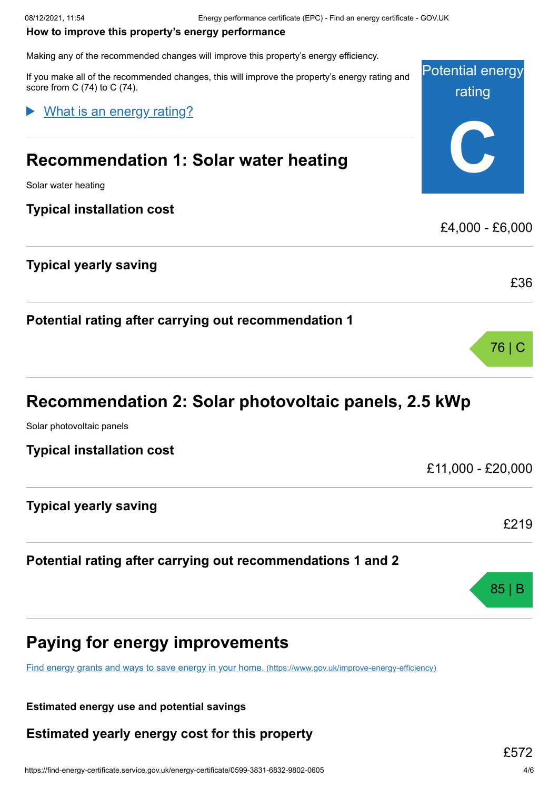#### <span id="page-3-0"></span>**How to improve this property's energy performance**

Making any of the recommended changes will improve this property's energy efficiency.

Potential energy rating **C** If you make all of the recommended changes, this will improve the property's energy rating and score from C (74) to C (74). **Recommendation 1: Solar water heating** Solar water heating **Typical installation cost** £4,000 - £6,000 **Typical yearly saving** £36 What is an energy rating?

**Potential rating after carrying out recommendation 1**

# **Recommendation 2: Solar photovoltaic panels, 2.5 kWp**

Solar photovoltaic panels

**Typical installation cost**

£11,000 - £20,000

£219

85 | B

76 | C

**Typical yearly saving**

**Potential rating after carrying out recommendations 1 and 2**



[Find energy grants and ways to save energy in your home.](https://www.gov.uk/improve-energy-efficiency) (https://www.gov.uk/improve-energy-efficiency)

**Estimated energy use and potential savings**

**Estimated yearly energy cost for this property**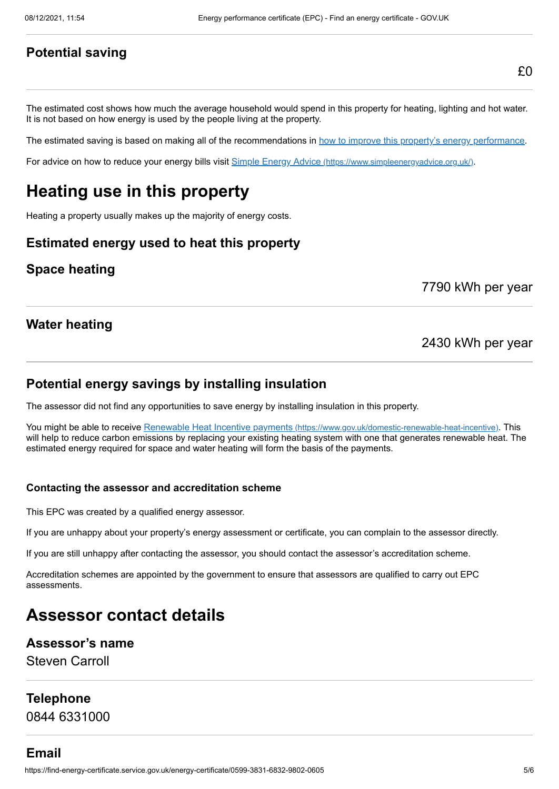#### **Potential saving**

The estimated cost shows how much the average household would spend in this property for heating, lighting and hot water. It is not based on how energy is used by the people living at the property.

The estimated saving is based on making all of the recommendations in [how to improve this property's energy performance.](#page-3-0)

For advice on how to reduce your energy bills visit Simple Energy Advice [\(https://www.simpleenergyadvice.org.uk/\)](https://www.simpleenergyadvice.org.uk/).

# **Heating use in this property**

Heating a property usually makes up the majority of energy costs.

#### **Estimated energy used to heat this property**

#### **Space heating**

7790 kWh per year

#### **Water heating**

#### 2430 kWh per year

#### **Potential energy savings by installing insulation**

The assessor did not find any opportunities to save energy by installing insulation in this property.

You might be able to receive Renewable Heat Incentive payments [\(https://www.gov.uk/domestic-renewable-heat-incentive\)](https://www.gov.uk/domestic-renewable-heat-incentive). This will help to reduce carbon emissions by replacing your existing heating system with one that generates renewable heat. The estimated energy required for space and water heating will form the basis of the payments.

#### **Contacting the assessor and accreditation scheme**

This EPC was created by a qualified energy assessor.

If you are unhappy about your property's energy assessment or certificate, you can complain to the assessor directly.

If you are still unhappy after contacting the assessor, you should contact the assessor's accreditation scheme.

Accreditation schemes are appointed by the government to ensure that assessors are qualified to carry out EPC assessments.

# **Assessor contact details**

#### **Assessor's name**

Steven Carroll

#### **Telephone**

0844 6331000